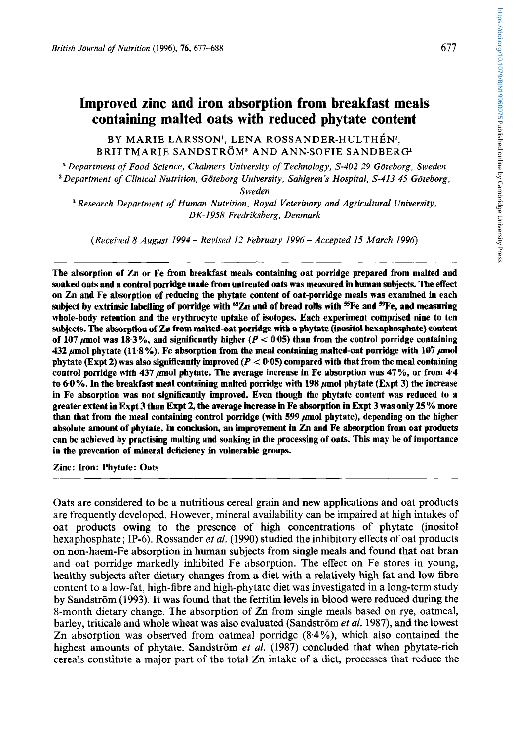# **Improved zinc and iron absorption from breakfast meals containing malted oats with reduced phytate content**

BY MARIE LARSSON<sup>1</sup>, LENA ROSSANDER-HULTHÉN<sup>2</sup>, BRITTMARIE SANDSTRÖM<sup>3</sup> AND ANN-SOFIE SANDBERG<sup>1</sup>

<sup>1</sup> Department of Food Science, Chalmers University of Technology, S-402 29 Göteborg, Sweden <sup>2</sup> Department of Clinical Nutrition, Göteborg University, Sahlgren's Hospital, S-413 45 Göteborg,

*Sweden* 

*Research Department of Human Nutrition, Royal Veterinary and Agricultural University, DK-1958 Fredriksberg, Denmark* 

*(Received 8 August 1994* - *Revised 12 February 1996* - *Accepted 15 March 1996)* 

The absorption of Zn or Fe from breakfast meals containing oat porridge prepared from malted and soaked oats and a control porridge made from untreated oats was measured in human subjects. The effect on Zn and Fe absorption of reducing the phytate content of oat-porridge meals was examined in each subject by extrinsic labelling of porridge with  ${}^{65}Zn$  and of bread rolls with  ${}^{55}Fe$  and  ${}^{59}Fe$ , and measuring whole-body retention and the erythrocyte uptake of isotopes. Each experiment comprised nine to ten subjects. The absorption of Zn from malted-oat porridge with a phytate (inositol hexaphosphate) content of 107  $\mu$ mol was 18.3%, and significantly higher ( $P < 0.05$ ) than from the control porridge containing **432** µmol phytate (11.8%). Fe absorption from the meal containing malted-oat porridge with 107 µmol phytate (Expt **2)** was also significantly improved *(P* < **0.05)** compared with that from the meal containing control porridge with 437 *u*mol phytate. The average increase in Fe absorption was 47%, or from 4.4 to 60%. In the breakfast meal containing malted porridge with **198** pmol phytate (Expt **3)** the increase in Fe absorption was not significantly improved. Even though the phytate content was reduced to a greater extent in Expt **3 than** Expt **2,** the average increase **in** Fe absorption in Expt **3** was only **25** *70* more than that from the meal containing control porridge (with 599  $\mu$ mol phytate), depending on the higher absolute amount of phytate. In conclusion, **an** improvement in Zn and Fe absorption from oat products can be achieved by practising malting and soaking in the processing of oats. This may be of importance in the prevention of mineral deficiency in vulnerable groups.

Zinc: Iron: Phytate: Oats

Oats are considered to be a nutritious cereal grain and new applications and oat products are frequently developed. However, mineral availability can be impaired at high intakes of oat products owing to the presence of high concentrations of phytate (inositol hexaphosphate; IP-6). Rossander *et al.* (1990) studied the inhibitory effects of oat products on non-haem-Fe absorption in human subjects from single meals and found that oat bran and oat porridge markedly inhibited Fe absorption. The effect on Fe stores in young, healthy subjects after dietary changes from **a** diet with a relatively high fat and low fibre content to a low-fat, high-fibre and high-phytate diet was investigated in a long-term study by Sandström (1993). It was found that the ferritin levels in blood were reduced during the 8-month dietary change. The absorption of Zn from single meals based on rye, oatmeal, barley, triticale and whole wheat was also evaluated (Sandström et al. 1987), and the lowest Zn absorption was observed from oatmeal porridge (8.4 %), which also contained the highest amounts of phytate. Sandström et al.  $(1987)$  concluded that when phytate-rich cereals constitute a major part of the total Zn intake of a diet, processes that reduce the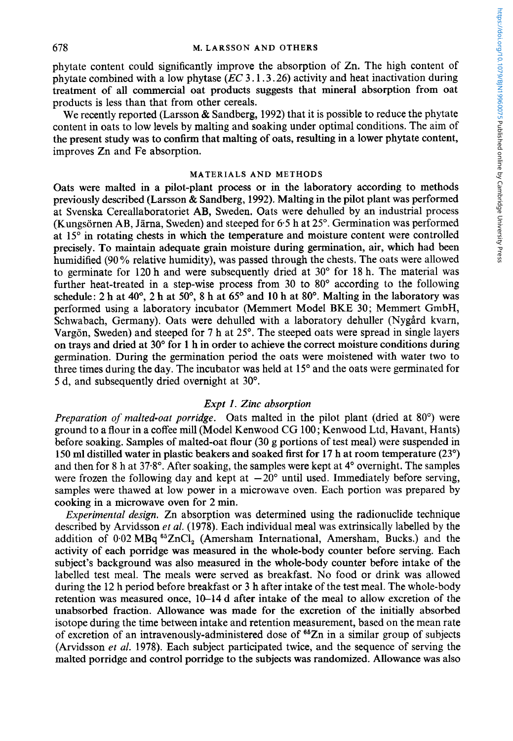phytate content could significantly improve the absorption of Zn. The high content of phytate combined with a low phytase *(EC* **3.1.3.26)** activity and heat inactivation during treatment of all commercial oat products suggests that mineral absorption from oat products is less than that from other cereals.

We recently reported (Larsson & Sandberg, **1992)** that it is possible to reduce the phytate content in oats to low levels by malting and soaking under optimal conditions. The aim of the present study was to confirm that malting of oats, resulting in a lower phytate content, improves Zn and Fe absorption.

#### **MATERIALS AND METHODS**

Oats were malted in a pilot-plant process or in the laboratory according to methods previously described (Larsson & Sandberg, **1992).** Malting in the pilot plant was performed at Svenska Cereallaboratoriet AB, Sweden. Oats were dehulled by an industrial process (Kungsornen AB, Jarna, Sweden) and steeped for **6.5** h at **25".** Germination was performed at **15"** in rotating chests in which the temperature and moisture content were controlled precisely. To maintain adequate grain moisture during germination, air, which had been humidified **(90** % relative humidity), was passed through the chests. The oats were allowed to germinate for **120** h and were subsequently dried at **30"** for **18** h. The material was further heat-treated in a step-wise process from **30** to 80" according to the following schedule: **2** h at **40", 2** h at *50°,* **8** h at **65"** and **10** h at **80".** Malting in the laboratory was performed using a laboratory incubator (Memmert Model BKE 30; Memmert GmbH, Schwabach, Germany). Oats were dehulled with a laboratory dehuller (Nygård kvarn, Vargon, Sweden) and steeped for **7** h at **25".** The steeped oats were spread in single layers on trays and dried at **30"** for **1** h in order to achieve the correct moisture conditions during germination. During the germination period the oats were moistened with water two to three times during the day. The incubator was held at 15° and the oats were germinated for 5 d, and subsequently dried overnight at **30".** 

# *Expt I. Zinc absorption*

*Preparation of malted-oat porridge.* Oats malted in the pilot plant (dried at 80°) were ground to a flour in a coffee mill (Model Kenwood CG 100; Kenwood Ltd, Havant, Hants) before soaking. Samples of malted-oat flour **(30** g portions of test meal) were suspended in **150** ml distilled water in plastic beakers and soaked first for **17** h at room temperature **(23")**  and then for 8 h at **37.8".** After soaking, the samples were kept at **4"** overnight. The samples were frozen the following day and kept at  $-20^{\circ}$  until used. Immediately before serving, samples were thawed at low power in a microwave oven. Each portion was prepared by cooking in a microwave oven for **2** min.

*Experimental design.* Zn absorption was determined using the radionuclide technique described by Arvidsson *et al.* (1978). Each individual meal was extrinsically labelled by the addition of 0.02 MBq 65ZnC1, (Amersham International, Amersham, Bucks.) and the activity of each porridge was measured in the whole-body counter before serving. Each subject's background was also measured in the whole-body counter before intake of the labelled test meal. The meals were served as breakfast. No food or drink was allowed during the 12 h period before breakfast or **3** h after intake of the test meal. The whole-body retention was measured once, 10-14 d after intake **of** the meal to allow excretion of the unabsorbed fraction. Allowance was made for the excretion of the initially absorbed isotope during the time between intake and retention measurement, based on the mean rate of excretion of an intravenously-administered dose of  $65$ Zn in a similar group of subjects (Arvidsson *et al.* **1978).** Each subject participated twice, and the sequence of serving the malted porridge and control porridge to the subjects was randomized. Allowance was also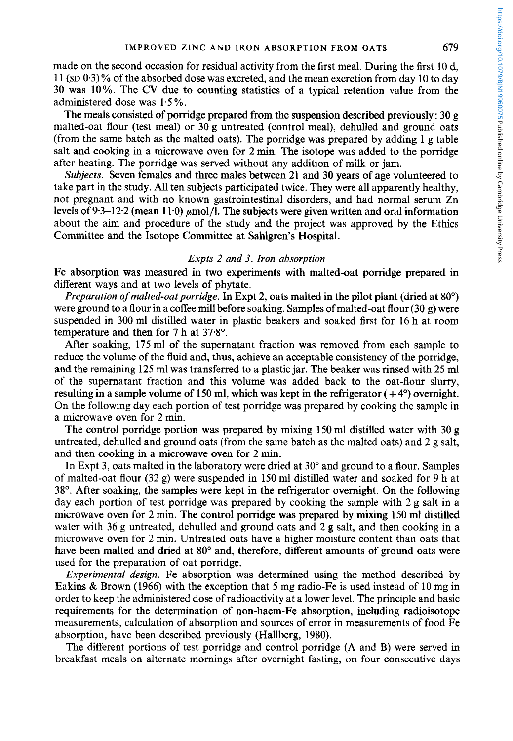#### **IMPROVED ZINC AND IRON ABSORPTION FROM OATS** 679

made on the second occasion for residual activity from the first meal. During the first 10 d, 1 1 **(SD 0.3)** % of the absorbed dose was excreted, and the mean excretion from day 10 to day 30 was **10%.** The **CV** due to counting statistics of a typical retention value from the administered dose was 1.5 %.

The meals consisted of porridge prepared from the suspension described previously: **30** g malted-oat flour (test meal) or **30** g untreated (control meal), dehulled and ground oats (from the same batch as the malted oats). The porridge was prepared by adding 1 g table salt and cooking in a microwave oven for 2 min. The isotope was added to the porridge after heating. The porridge was served without any addition of milk or jam.

*Subjects.* Seven females and three males between 21 and **30** years of age volunteered to take part in the study. All ten subjects participated twice. They were all apparently healthy, not pregnant and with no known gastrointestinal disorders, and had normal serum Zn levels of 9.3–12.2 (mean 11.0)  $\mu$ mol/l. The subjects were given written and oral information about the aim and procedure of the study and the project was approved by the Ethics Committee and the Isotope Committee at Sahlgren's Hospital.

#### *Expts 2 and 3. Iron absorption*

Fe absorption was measured in two experiments with malted-oat porridge prepared in different ways and at two levels of phytate.

*Preparation of malted-oat porridge.* In Expt 2, oats malted in the pilot plant (dried at 80°) were ground to a flour in a coffee mill before soaking. Samples of malted-oat flour **(30** g) were suspended in **300** ml distilled water in plastic beakers and soaked first for 16 h at room temperature and then for **7** h at 37.8".

After soaking, 175 ml of the supernatant fraction was removed from each sample to reduce the volume of the fluid and, thus, achieve an acceptable consistency of the porridge, and the remaining 125 ml was transferred to a plastic jar. The beaker was rinsed with 25 ml of the supernatant fraction and this volume was added back to the oat-flour slurry, resulting in a sample volume of 150 ml, which was kept in the refrigerator ( + **4")** overnight. On the following day each portion of test porridge was prepared by cooking the sample in a microwave oven for 2 min.

The control porridge portion was prepared by mixing 150 ml distilled water with **30** g untreated, dehulled and ground oats (from the same batch as the malted oats) and 2 g salt, and then cooking in a microwave oven for 2 min.

In Expt **3,** oats malted in the laboratory were dried at **30"** and ground to a flour. Samples of malted-oat flour  $(32 g)$  were suspended in 150 ml distilled water and soaked for 9 h at **38".** After soaking, the samples were kept in the refrigerator overnight. On the following day each portion of test porridge was prepared by cooking the sample with  $2g$  salt in a microwave oven for 2 min. The control porridge was prepared by mixing 150 ml distilled water with 36 g untreated, dehulled and ground cats and  $2$  g salt, and then cooking in a microwave oven for 2 min. Untreated oats have a higher moisture content than oats that have been malted and dried at **80"** and, therefore, different amounts of ground oats were used for the preparation of oat porridge.

*Experimental design.* Fe absorption was determined using the method described by Eakins & Brown (1966) with the exception that 5 mg radio-Fe is used instead of 10 mg in order to keep the administered dose of radioactivity at a lower level. The principle and basic requirements for the determination of non-haem-Fe absorption, including radioisotope measurements, calculation of absorption and sources of error in measurements of food Fe absorption, have been described previously (Hallberg, 1980).

The different portions of test porridge and control porridge (A and B) were served in breakfast meals on alternate mornings after overnight fasting, on four consecutive days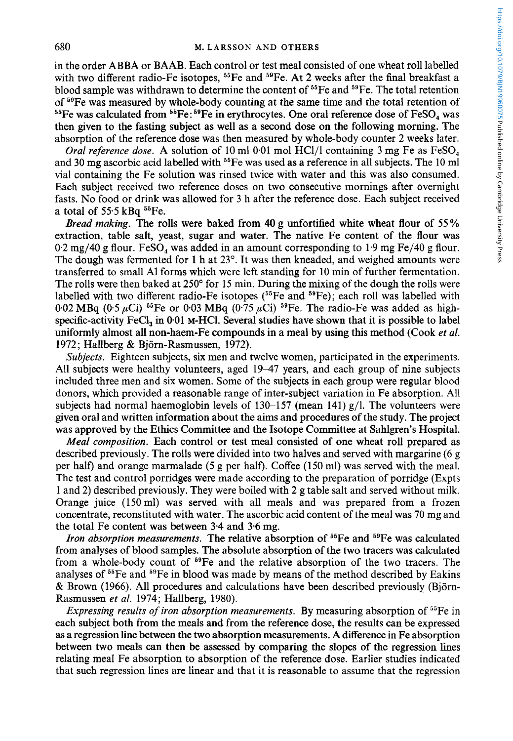in the order ABBA or BAAB. Each control or test meal consisted of one wheat roll labelled with two different radio-Fe isotopes,  $55Fe$  and  $59Fe$ . At 2 weeks after the final breakfast a blood sample was withdrawn to determine the content of  $55Fe$  and  $59Fe$ . The total retention of <sup>59</sup>Fe was measured by whole-body counting at the same time and the total retention of <sup>55</sup>Fe was calculated from <sup>55</sup>Fe:<sup>59</sup>Fe in erythrocytes. One oral reference dose of FeSO<sub>4</sub> was then given to the fasting subject as well as a second dose on the following morning. The absorption of the reference dose was then measured by whole-body counter 2 weeks later.

*Oral reference dose.* A solution of 10 ml 0.01 mol HCl/1 containing 3 mg Fe as FeSO<sub>4</sub> and 30 mg ascorbic acid labelled with  $55$  Fe was used as a reference in all subjects. The 10 ml vial containing the Fe solution was rinsed twice with water and this was also consumed. Each subject received two reference doses on two consecutive mornings after overnight fasts. No food or drink was allowed for 3 h after the reference dose. Each subject received a total of  $55.5$  kBq  $^{55}$ Fe.

*Bread making.* The rolls were baked from **40** g unfortified white wheat flour of *55* % extraction, table salt, yeast, sugar and water. The native Fe content of the flour was  $0.2$  mg/40 g flour. FeSO<sub>4</sub> was added in an amount corresponding to 1.9 mg Fe/40 g flour. The dough was fermented for 1 h at 23°. It was then kneaded, and weighed amounts were transferred to small A1 forms which were left standing for 10 min of further fermentation. The rolls were then baked at  $250^{\circ}$  for 15 min. During the mixing of the dough the rolls were labelled with two different radio-Fe isotopes (<sup>55</sup>Fe and <sup>59</sup>Fe); each roll was labelled with 0.02 MBq  $(0.5 \mu Ci)$  <sup>55</sup>Fe or 0.03 MBq  $(0.75 \mu Ci)$  <sup>59</sup>Fe. The radio-Fe was added as highspecific-activity FeC1, in **0-01** M-HCl. Several studies have shown that it is possible to label uniformly almost all non-haem-Fe compounds in a meal by using this method (Cook *et al.*  **1972;** Hallberg & Bjorn-Rasmussen, 1972).

*Subjects.* Eighteen subjects, six men and twelve women, participated in the experiments. All subjects were healthy volunteers, aged 19–47 years, and each group of nine subjects included three men and six women. Some of the subjects in each group were regular blood donors, which provided a reasonable range of inter-subject variation in Fe absorption. All subjects had normal haemoglobin levels of 130-157 (mean 141)  $g/l$ . The volunteers were given oral and written information about the aims and procedures of the study. The project was approved by the Ethics Committee and the Isotope Committee at Sahlgren's Hospital.

*Meal composition.* Each control or test meal consisted of one wheat roll prepared as described previously. The rolls were divided into two halves and served with margarine (6 g per half) and orange marmalade *(5* **g** per half). Coffee (150 ml) was served with the meal. The test and control porridges were made according to the preparation of porridge (Expts 1 and 2) described previously. They were boiled with **2** g table salt and served without milk. Orange juice (150 ml) was served with all meals and was prepared from a frozen concentrate, reconstituted with water. The ascorbic acid content of the meal was 70 mg and the total Fe content was between 3-4 and 3.6 mg.

*Iron absorption measurements*. The relative absorption of <sup>55</sup>Fe and <sup>59</sup>Fe was calculated from analyses of blood samples. The absolute absorption of the two tracers was calculated from a whole-body count of 59Fe and the relative absorption of the two tracers. The analyses of 55Fe and 59Fe in blood was made by means of the method described by Eakins & Brown (1966). All procedures and calculations have been described previously (Bjorn-Rasmussen *et al.* 1974; Hallberg, 1980).

*Expressing results of iron absorption measurements.* By measuring absorption of <sup>55</sup>Fe in each subject both from the meals and from the reference dose, the results can be expressed as a regression line between the two absorption measurements. **A** difference in Fe absorption between two meals can then be assessed by comparing the slopes of the regression lines relating meal Fe absorption to absorption of the reference dose. Earlier studies indicated that such regression lines are linear and that it is reasonable to assume that the regression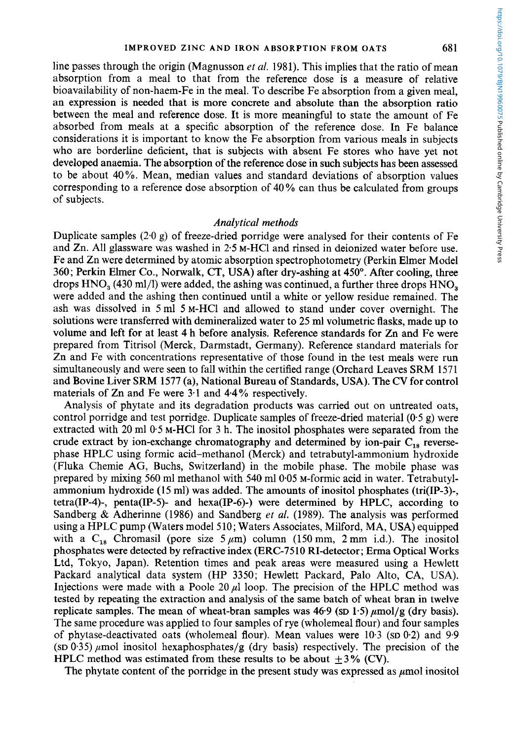line passes through the origin (Magnusson *et al.* 1981). This implies that the ratio of mean absorption from a meal to that from the reference dose is a measure of relative bioavailability of non-haem-Fe in the meal. To describe Fe absorption from a given meal, an expression is needed that is more concrete and absolute than the absorption ratio between the meal and reference dose. It is more meaningful to state the amount of Fe absorbed from meals at a specific absorption of the reference dose. In Fe balance considerations it is important to know the Fe absorption from various meals in subjects who are borderline deficient, that is subjects with absent Fe stores who have yet not developed anaemia. The absorption of the reference dose in such subjects has been assessed to be about 40%. Mean, median values and standard deviations of absorption values corresponding to a reference dose absorption of 40 % can thus be calculated from groups of subjects.

#### *Analytical methods*

Duplicate samples  $(2.0 \text{ g})$  of freeze-dried porridge were analysed for their contents of Fe and Zn. All glassware was washed in 2.5 M-HCl and rinsed in deionized water before use. Fe and Zn were determined by atomic absorption spectrophotometry (Perkin Elmer Model 360; Perkin Elmer Co., Norwalk, CT, USA) after dry-ashing at 450". After cooling, three drops  $HNO<sub>3</sub>$  (430 ml/l) were added, the ashing was continued, a further three drops  $HNO<sub>3</sub>$ were added and the ashing then continued until a white or yellow residue remained. The ash was dissolved in 5 ml 5 M-HCl and allowed to stand under cover overnight. The solutions were transferred with demineralized water to **25 ml** volumetric flasks, made up to volume and left for at least 4 h before analysis. Reference standards for Zn and Fe were prepared from Titrisol (Merck, Darmstadt, Germany). Reference standard materials for Zn and Fe with concentrations representative of those found in the test meals were run simultaneously and were seen to fall within the certified range (Orchard Leaves SRM 1571 and Bovine Liver SRM 1577 (a), National Bureau of Standards, USA). The CV for control materials of Zn and Fe were **3.1** and 4.4% respectively.

Analysis of phytate and its degradation products was carried out on untreated oats, control porridge and test porridge. Duplicate samples of freeze-dried material  $(0.5 g)$  were extracted with **20** ml 0.5 M-HCl for 3 h. The inositol phosphates were separated from the crude extract by ion-exchange chromatography and determined by ion-pair  $C_{18}$  reversephase HPLC using formic acid-methanol (Merck) and tetrabutyl-ammonium hydroxide (Fluka Chemie AG, Buchs, Switzerland) in the mobile phase. The mobile phase was prepared by mixing 560 ml methanol with 540 ml 0.05 M-formic acid in water. Tetrabutylammonium hydroxide (15 ml) was added. The amounts of inositol phosphates (tri(IP-3)-, tetra(IP-4)-, penta(IP-5)- and hexa(IP-6)-) were determined by HPLC, according to Sandberg & Adherinne (1986) and Sandberg *et al.* (1989). The analysis was performed using a HPLC pump (Waters model 510; Waters Associates, Milford, MA, **USA)** equipped with a C<sub>18</sub> Chromasil (pore size 5  $\mu$ m) column (150 mm, 2 mm i.d.). The inositol phosphates were detected by refractive index (ERC-75 10 RI-detector; Erma Optical Works Ltd, Tokyo, Japan). Retention times and peak areas were measured using a Hewlett Packard analytical data system (HP 3350; Hewlett Packard, Palo Alto, CA, USA). Injections were made with a Poole 20  $\mu$ l loop. The precision of the HPLC method was tested by repeating the extraction and analysis of the same batch of wheat bran in twelve replicate samples. The mean of wheat-bran samples was  $46.9$  (sp  $1.5$ )  $\mu$ mol/g (dry basis). The same procedure was applied to four samples of rye (wholemeal flour) and four samples of phytase-deactivated oats (wholemeal flour). Mean values were 10.3 **(SD 0.2)** and 9.9 (sp 0.35)  $\mu$ mol inositol hexaphosphates/g (dry basis) respectively. The precision of the HPLC method was estimated from these results to be about  $\pm 3\%$  (CV).

The phytate content of the porridge in the present study was expressed as  $\mu$ mol inositol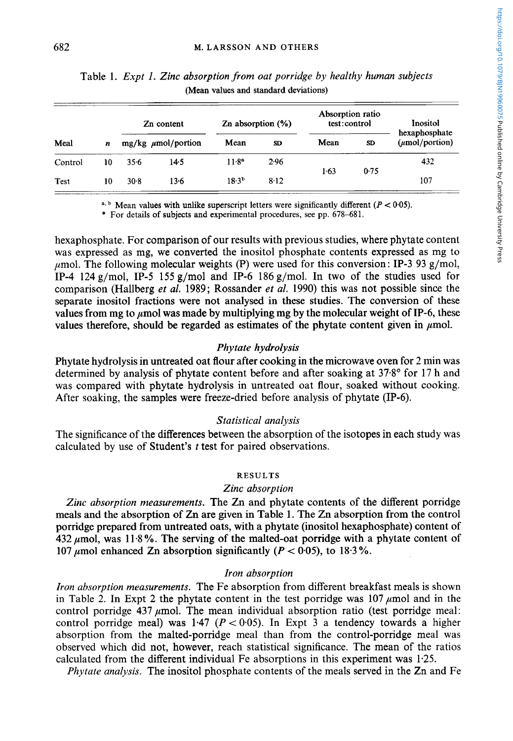| Meal        | n  | Zn content |                         | Zn absorption $(\%)$ |      | Absorption ratio<br>test:control |                | Inositol<br>hexaphosphate         |
|-------------|----|------------|-------------------------|----------------------|------|----------------------------------|----------------|-----------------------------------|
|             |    |            | $mg/kg \mu mol/portion$ | Mean                 | SD   | Mean                             | SD <sub></sub> | $(\mu \text{mol}/\text{portion})$ |
| Control     | 10 | 356        | $14-5$                  | 11.8 <sup>a</sup>    | 2.96 | 1.63                             |                | 432                               |
| <b>Test</b> | 10 | 30.8       | $13-6$                  | $18.3^{b}$           | 8.12 |                                  | 0.75           | 107                               |

Table 1. *Expt* 1. *Zinc absorption from oat porridge by healthy human subjects*  **(Mean values and standard deviations)** 

<sup>a, b</sup> Mean values with unlike superscript letters were significantly different  $(P < 0.05)$ .

\* **For details of subjects and experimental procedures, see pp. 678-681.** 

hexaphosphate. For comparison of our results with previous studies, where phytate content was expressed as mg, we converted the inositol phosphate contents expressed as mg to  $\mu$ mol. The following molecular weights (P) were used for this conversion: IP-3 93 g/mol, IP-4 124 g/mol, IP-5 155 g/mol and IP-6 186 g/mol. In two of the studies used for comparison (Hallberg *et al.* 1989; Rossander *et al.* 1990) this was not possible since the separate inositol fractions were not analysed in these studies. The conversion of these values from mg to  $\mu$ mol was made by multiplying mg by the molecular weight of IP-6, these values therefore, should be regarded as estimates of the phytate content given in  $\mu$ mol.

# *Phytate hydrolysis*

Phytate hydrolysis in untreated oat flour after cooking in the microwave oven for 2 min was determined by analysis of phytate content before and after soaking at 37.8' for 17 h and was compared with phytate hydrolysis in untreated oat flour, soaked without cooking. After soaking, the samples were freeze-dried before analysis of phytate (IP-6).

#### *Statistical analysis*

The significance of the differences between the absorption of the isotopes in each study was calculated by use of Student's *t* test for paired observations.

#### **RESULTS**

#### *Zinc absorption*

*Zinc absorption measurements.* The Zn and phytate contents of the different porridge meals and the absorption of Zn are given in Table 1. The Zn absorption from the control porridge prepared from untreated oats, with a phytate (inositol hexaphosphate) content of 432  $\mu$ mol, was 11.8%. The serving of the malted-oat porridge with a phytate content of 107  $\mu$ mol enhanced Zn absorption significantly ( $P < 0.05$ ), to 18.3%.

#### *Iron absorption*

*Iron absorption measurements.* The Fe absorption from different breakfast meals is shown in Table 2. In Expt 2 the phytate content in the test porridge was  $107 \mu \text{mol}$  and in the control porridge  $437 \mu$ mol. The mean individual absorption ratio (test porridge meal: control porridge meal) was  $1.47$  ( $P < 0.05$ ). In Expt 3 a tendency towards a higher absorption from the malted-porridge meal than from the control-porridge meal was observed which did not, however, reach statistical significance. The mean of the ratios calculated from the different individual Fe absorptions in this experiment was 1.25.

*Phytate analysis.* The inositol phosphate contents of the meals served in the Zn and Fe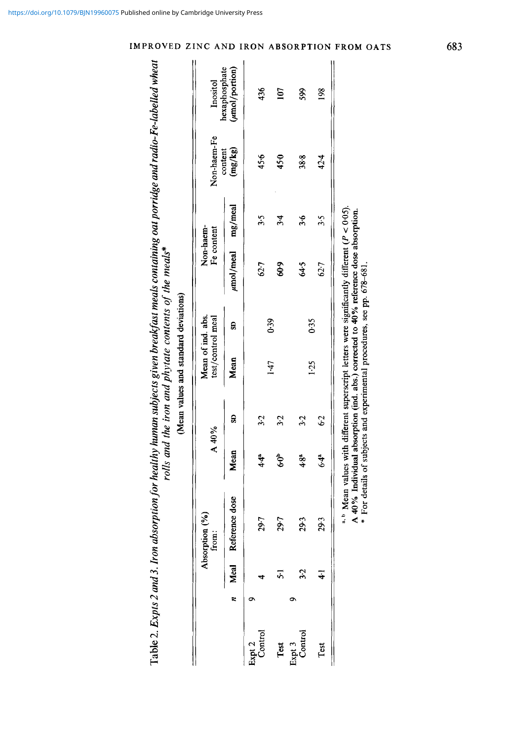|                   |      |                                           |               |               | (Mean values and standard deviations)                                   |      |                                                                                                                                                                                                    |            |                    |                                 |
|-------------------|------|-------------------------------------------|---------------|---------------|-------------------------------------------------------------------------|------|----------------------------------------------------------------------------------------------------------------------------------------------------------------------------------------------------|------------|--------------------|---------------------------------|
|                   |      | $\mathbf{e}^{(3)}$<br>Absorption<br>from: | A 40%         |               | Mean of ind. abs.<br>test/control meal                                  |      | Non-haem-<br>Fe content                                                                                                                                                                            |            | Non-haem-Fe        | Inositol                        |
|                   | Meal | Reference dose                            | Mean          | g             | Mean                                                                    | g    | umol/meal                                                                                                                                                                                          | mg/meal    | (mg/kg)<br>content | hexaphosphate<br>(umol/portion) |
|                   |      | 29.7                                      | $\frac{4}{4}$ | 32            |                                                                         |      | 62.7                                                                                                                                                                                               | 3.5        | 45.6               | 436                             |
| Test              |      | 29.7                                      | \$            | 3.2           | 147                                                                     | 0.39 | 60-9                                                                                                                                                                                               | $\ddot{3}$ | 450                | 107                             |
| Expt 3<br>Control |      | 29.3                                      | $4.8^{a}$     | 32            |                                                                         |      | 64.5                                                                                                                                                                                               | $\ddot{r}$ | 38.8               | 599                             |
| Test              |      | 29.3                                      | $6.4^{\circ}$ | $\mathcal{C}$ | 1.25                                                                    | 0.35 | 62.7                                                                                                                                                                                               | 3.5        | 42.4               | 198                             |
|                   |      |                                           |               |               | * For details of subjects and experimental procedures, see pp. 678-681. |      | <sup>a, b</sup> Mean values with different superscript letters were significantly different ( $P < 0.05$ ).<br>A 40% Individual absorption (ind. abs.) corrected to 40% reference dose absorption. |            |                    |                                 |

**Table** 2. *Expts 2 and 3. Iron absorption for healthy human subjects given breakfast meals containing oat porridge and radio-Fe-labelled wheat rolls and the iron and phytate contents of the meals\** 

Table 2. Expts 2 and 3. Iron absorption for healthy human subjects given breakfast meals containing oat porridge and radio-Fe-labelled wheat<br>rolls and the iron and phytate contents of the interest meals\*

# *z* **INC AND IRON ABSORPTION FROM OA?**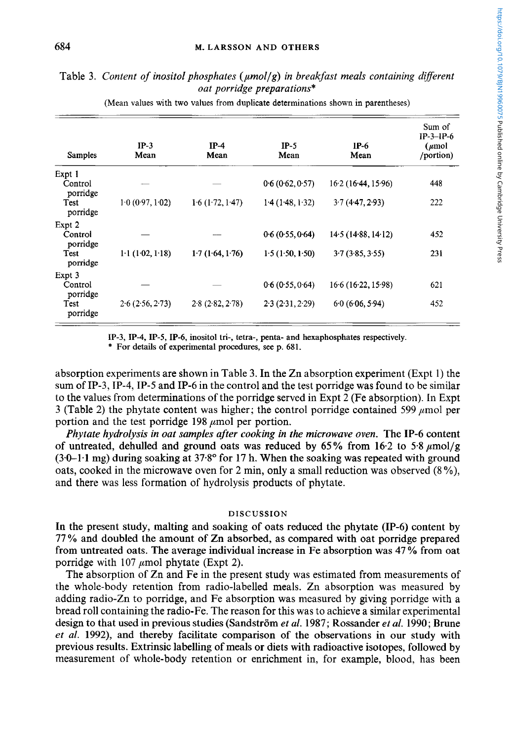# Table **3.** *Content of inositol phosphates (ymollg) in breakfast meals containing different oat porridge preparations\**

| Samples                       | $IP-3$<br>Mean             | $IP-4$<br>Mean  | $IP-5$<br>Mean  | $IP-6$<br>Mean     | Sum of<br>$IP-3-IP-6$<br>$(\mu$ mol<br>/portion) |
|-------------------------------|----------------------------|-----------------|-----------------|--------------------|--------------------------------------------------|
| Expt 1<br>Control<br>porridge |                            |                 | 0.6(0.62, 0.57) | 16.2(16.44, 15.96) | 448                                              |
| Test<br>porridge              | 1.0(0.97, 1.02)            | 1.6(1.72, 1.47) | 1.4(1.48, 1.32) | 3.7(4.47, 2.93)    | 222                                              |
| Expt 2<br>Control<br>porridge |                            |                 | 0.6(0.55, 0.64) | 14.5(14.88, 14.12) | 452                                              |
| Test<br>porridge              | $1-1$ (1 $-02$ , 1 $-18$ ) | 1.7(1.64, 1.76) | 1.5(1.50, 1.50) | 3.7(3.85, 3.55)    | 231                                              |
| Expt 3<br>Control<br>porridge |                            |                 | 0.6(0.55, 0.64) | 16.6(16.22, 15.98) | 621                                              |
| Test<br>porridge              | 2.6(2.56, 2.73)            | 2.8(2.82, 2.78) | 2.3(2.31, 2.29) | 60(606, 594)       | 452                                              |

**(Mean values with two values from duplicate determinations shown in parentheses)** 

**IP-3, IP-4, IP-5, IP-6, inositol tri-, tetra-, penta- and hexaphosphates respectively.** 

\* **For details of experimental procedures, see p. 681.** 

absorption experiments are shown in Table **3.** In the Zn absorption experiment (Expt 1) the sum of IP-3, IP-4, **IP-5** and IP-6 in the control and the test porridge was found to be similar to the values from determinations of the porridge served in Expt 2 (Fe absorption). In Expt 3 (Table 2) the phytate content was higher; the control porridge contained 599  $\mu$ mol per portion and the test porridge  $198 \mu$ mol per portion.

*Phytate hydrolysis in oat samples after cooking in the microwave oven.* The **IP-6** content of untreated, dehulled and ground oats was reduced by  $65\%$  from  $16.2$  to  $5.8 \mu \text{mol/g}$ **(3.0-1.1** mg) during soaking at **37.8"** for **17** h. When the soaking was repeated with ground oats, cooked in the microwave oven for 2 min, only a small reduction was observed (8%), and there was less formation of hydrolysis products of phytate.

#### **DISCUSSION**

In the present study, malting and soaking of oats reduced the phytate **(IP-6)** content by **77%** and doubled the amount of Zn absorbed, as compared with oat porridge prepared from untreated oats. The average individual increase in Fe absorption was **47** % from oat porridge with 107  $\mu$ mol phytate (Expt 2).

The absorption of Zn and Fe in the present study was estimated from measurements of the whole-body retention from radio-labelled meals. Zn absorption was measured by adding radio-Zn to porridge, and Fe absorption was measured by giving porridge with a bread roll containing the radio-Fe. The reason for this was to achieve a similar experimental design to that used in previous studies (Sandström et al. 1987; Rossander et al. 1990; Brune *et al.* **1992),** and thereby facilitate comparison of the observations **in** our study with previous results. Extrinsic labelling of meals or diets with radioactive isotopes, followed by measurement of whole-body retention or enrichment in, for example, blood, has been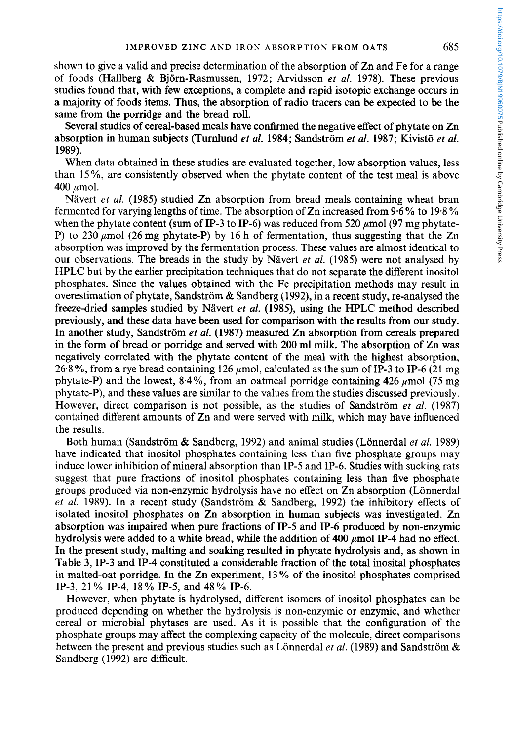shown to give a valid and precise determination of the absorption of Zn and Fe for a range of foods (Hallberg & Bjorn-Rasmussen, 1972; Arvidsson *et al.* 1978). These previous studies found that, with few exceptions, a complete and rapid isotopic exchange occurs in a majority of foods items. Thus, the absorption of radio tracers can be expected to be the same from the porridge and the bread roll.

Several studies of cereal-based meals have confirmed the negative effect of phytate on Zn absorption in human subjects (Turnlund *et al.* 1984; Sandström *et al.* 1987; Kivistö *et al.* 1989).

When data obtained in these studies are evaluated together, low absorption values, less than 15%, are consistently observed when the phytate content of the test meal is above  $400 \mu$ mol.

Nävert *et al.* (1985) studied Zn absorption from bread meals containing wheat bran fermented for varying lengths of time. The absorption of Zn increased from 9.6% to 19.8% when the phytate content (sum of IP-3 to IP-6) was reduced from 520  $\mu$ mol (97 mg phytate-P) to 230  $\mu$ mol (26 mg phytate-P) by 16 h of fermentation, thus suggesting that the Zn absorption was improved by the fermentation process. These values are almost identical to our observations. The breads in the study by Navert *et al.* (1985) were not analysed by HPLC but by the earlier precipitation techniques that do not separate the different inositol phosphates. Since the values obtained with the Fe precipitation methods may result in overestimation of phytate, Sandström & Sandberg (1992), in a recent study, re-analysed the freeze-dried samples studied by Nävert *et al.* (1985), using the HPLC method described previously, and these data have been used for comparison with the results from our study. In another study, Sandström *et al.* (1987) measured Zn absorption from cereals prepared in the form of bread or porridge and served with 200 **ml** milk. The absorption of Zn was negatively correlated with the phytate content of the meal with the highest absorption, 26.8%, from a rye bread containing 126  $\mu$ mol, calculated as the sum of IP-3 to IP-6 (21 mg) phytate-P) and the lowest,  $8.4\%$ , from an oatmeal porridge containing  $426 \mu$ mol (75 mg) phytate-P), and these values are similar to the values from the studies discussed previously. However, direct comparison is not possible, as the studies of Sandström et *al.* (1987) contained different amounts of Zn and were served with milk, which may have influenced the results.

Both human (Sandström & Sandberg, 1992) and animal studies (Lönnerdal *et al.* 1989) have indicated that inositol phosphates containing less than five phosphate groups may induce lower inhibition of mineral absorption than IP-5 and IP-6. Studies with sucking rats suggest that pure fractions of inositol phosphates containing less than five phosphate groups produced via non-enzymic hydrolysis have no effect on Zn absorption (Lönnerdal *et al.* 1989). In a recent study (Sandström & Sandberg, 1992) the inhibitory effects of isolated inositol phosphates on Zn absorption in human subjects was investigated. Zn absorption was impaired when pure fractions of IP-5 and IP-6 produced by non-enzymic hydrolysis were added to a white bread, while the addition of 400  $\mu$ mol IP-4 had no effect. In the present study, malting and soaking resulted in phytate hydrolysis and, as shown in Table 3, IP-3 and IP-4 constituted a considerable fraction of the total inosital phosphates in malted-oat porridge. In the Zn experiment, 13% of the inositol phosphates comprised IP-3, 21 *YO* IP-4, 18 *YO* IP-5, and 48 % IP-6.

However, when phytate is hydrolysed, different isomers of inositol phosphates can be produced depending on whether the hydrolysis is non-enzymic or enzymic, and whether cereal or microbial phytases are used. **As** it is possible that the configuration of the phosphate groups may affect the complexing capacity of the molecule, direct comparisons between the present and previous studies such as Lonnerdal *et al.* (1989) and Sandstrom & Sandberg (1992) are difficult.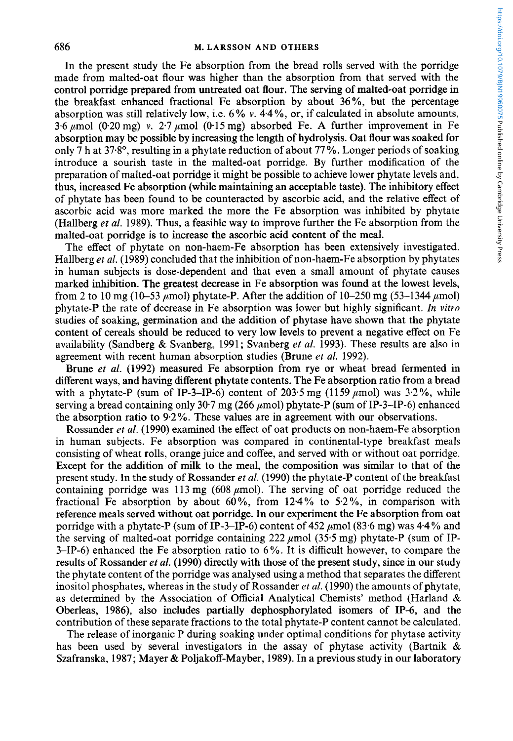In the present study the Fe absorption from the bread rolls served with the porridge made from malted-oat flour was higher than the absorption from that served with the control porridge prepared from untreated oat flour. The serving of malted-oat porridge in the breakfast enhanced fractional Fe absorption by about 36 *YO,* but the percentage absorption was still relatively low, i.e.  $6\%$  v.  $4.4\%$ , or, if calculated in absolute amounts, 3.6  $\mu$ mol (0.20 mg) v. 2.7  $\mu$ mol (0.15 mg) absorbed Fe. A further improvement in Fe absorption may be possible by increasing the length of hydrolysis. Oat flour was soaked for only 7 h at 37.8°, resulting in a phytate reduction of about 77%. Longer periods of soaking introduce a sourish taste in the malted-oat porridge. By further modification of the preparation of malted-oat porridge it might be possible to achieve lower phytate levels and, thus, increased Fe absorption (while maintaining an acceptable taste). The inhibitory effect of phytate has been found to be counteracted by ascorbic acid, and the relative effect of ascorbic acid was more marked the more the Fe absorption was inhibited by phytate (Hallberg *et al.* 1989). Thus, a feasible way to improve further the Fe absorption from the malted-oat porridge is to increase the ascorbic acid content of the meal.

The effect of phytate on non-haem-Fe absorption has been extensively investigated. Hallberg *et al.* (1989) concluded that the inhibition of non-haem-Fe absorption by phytates in human subjects is dose-dependent and that even a small amount of phytate causes marked inhibition. The greatest decrease in Fe absorption was found at the lowest levels, from 2 to 10 mg (10–53  $\mu$ mol) phytate-P. After the addition of 10–250 mg (53–1344  $\mu$ mol) phytate-P the rate of decrease in Fe absorption was lower but highly significant. *In vitro*  studies of soaking, germination and the addition of phytase have shown that the phytate content of cereals should be reduced to very low levels to prevent a negative effect on Fe availability (Sandberg & Svanberg, 1991; Svanberg *et al.* 1993). These results are also in agreement with recent human absorption studies (Brune *et al.* 1992).

Brune *et al.* (1992) measured Fe absorption from rye or wheat bread fermented in different ways, and having different phytate contents. The Fe absorption ratio from a bread with a phytate-P (sum of IP-3-IP-6) content of 203.5 mg (1159  $\mu$ mol) was 3.2%, while serving a bread containing only 30.7 mg (266  $\mu$ mol) phytate-P (sum of IP-3-IP-6) enhanced the absorption ratio to 9.2%. These values are in agreement with our observations.

Rossander *et al.* (1990) examined the effect of oat products on non-haem-Fe absorption in human subjects. Fe absorption was compared in continental-type breakfast meals consisting of wheat rolls, orange juice and coffee, and served with or without oat porridge. Except for the addition of milk to the meal, the composition was similar to that of the present study. In the study of Rossander *et al.* (1990) the phytate-P content of the breakfast containing porridge was 113 mg (608  $\mu$ mol). The serving of oat porridge reduced the fractional Fe absorption by about  $60\%$ , from 12.4% to 5.2%, in comparison with reference meals served without oat porridge. In our experiment the Fe absorption from oat porridge with a phytate-P (sum of IP-3-IP-6) content of 452  $\mu$ mol (83.6 mg) was 4.4% and the serving of malted-oat porridge containing  $222 \mu$  mol  $(35.5 \text{ mg})$  phytate-P (sum of IP-3–IP-6) enhanced the Fe absorption ratio to  $6\%$ . It is difficult however, to compare the results of Rossander *et al.* (1990) directly with those of the present study, since in our study the phytate content of the porridge was analysed using a method that separates the different inositol phosphates, whereas in the study of Rossander *et al.* (1990) the amounts of phytate, as determined by the Association of Official Analytical Chemists' method (Harland & Oberleas, 1986), also includes partially dephosphorylated isomers of IP-6, and the contribution of these separate fractions to the total phytate-P content cannot be calculated.

The release of inorganic P during soaking under optimal conditions for phytase activity has been used by several investigators in the assay of phytase activity (Bartnik & Szafranska, 1987; Mayer & Poljakoff-Mayber, 1989). In a previous study in our laboratory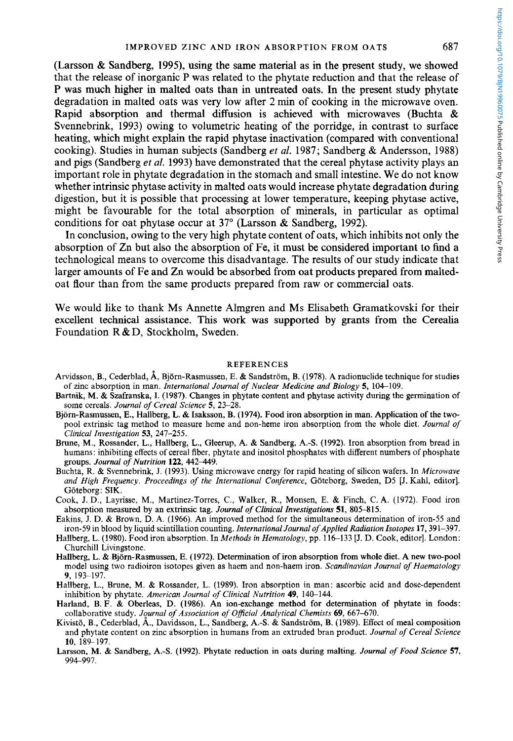(Larsson & Sandberg, **1995),** using the same material as in the present study, we showed that the release of inorganic P was related to the phytate reduction and that the release of **P** was much higher in malted oats than in untreated oats. In the present study phytate degradation in malted oats was very low after 2 min of cooking in the microwave oven. Rapid absorption and thermal diffusion is achieved with microwaves (Buchta & Svennebrink, **1993)** owing to volumetric heating of the porridge, in contrast to surface heating, which might explain the rapid phytase inactivation (compared with conventional cooking). Studies in human subjects (Sandberg *et al.* **1987;** Sandberg & Anderson, **1988)**  and pigs (Sandberg *et al.* **1993)** have demonstrated that the cereal phytase activity plays an important role in phytate degradation in the stomach and small intestine. We do not know whether intrinsic phytase activity in malted oats would increase phytate degradation during digestion, but it is possible that processing at lower temperature, keeping phytase active, might be favourable for the total absorption of minerals, in particular as optimal conditions for oat phytase occur at **37"** (Larsson & Sandberg, **1992).** 

In conclusion, owing to the very high phytate content of oats, which inhibits not only the absorption of Zn but also the absorption of Fe, it must be considered important to find a technological means to overcome this disadvantage. The results of our study indicate that larger amounts of Fe and Zn would be absorbed from oat products prepared from maltedoat flour than from the same products prepared from raw or commercial oats.

We would like to thank Ms Annette Almgren and Ms Elisabeth Gramatkovski for their excellent technical assistance. **This** work **was** supported by grants from the Cerealia Foundation R&D, Stockholm, Sweden.

#### **REFERENCES**

- Arvidsson, B., Cederblad, **A,** Bjorn-Rasmussen, E. & Sandstrom, B. (1978). **A** radionuclide technique for studies of zinc absorption in man. *International Journal of Nuclear Medicine and Biology* 5, 104-109.
- Bartnik, **M.** & Szafranska, I. (1987). Changes in phytate content and phytase activity during the germination of some cereals. *Journal of Cereal Science 5,* 23-28.
- Bjom-Rasmussen, E., Hallberg, **L.** & Isaksson, B. (1974). Food iron absorption in man. Application of the twopool extrinsic tag method to measure heme and non-heme iron absorption from the whole diet. *Journal qf Clinical Investigation 53,* 247-255.
- Brune, **M.,** Rossander, **L.,** Hallberg, L., Gleerup, **A.** & Sandberg, **A.-S.** (1992). Iron absorption from bread in humans: inhibiting effects of cereal fiber, phytate and inositol phosphates with different numbers of phosphate groups. *Journal of Nutrition* 122, 442-449.
- Buchta, R. & Svennebrink, J. (1993). Using microwave energy for rapid heating of silicon wafers. In *Microwave and High Frequency. Proceedings of the International Conference,* Goteborg, Sweden, D5 [J. Kahl, editor]. Göteborg: SIK.
- Cook, **J.** D., Layrisse, M., Martinez-Torres, **C.,** Walker, R., Monsen, E. & Finch, C. **A.** (1972). Food iron absorption measured by an extrinsic tag. *Journal of Clinical Investigations* **51,** 805-815.
- Eakins, J. **D.** & Brown, D. **A.** (1966). **An** improved method for the simultaneous determination of iron-55 and iron-59 in blood by liquid scintillation counting. *International Journal of Applied Radialion Isotopes* 17,391-397.
- Hallberg, **L.** (1980). Food iron absorption. In *Methods in Hematology,* pp. 116-133 [J. D. Cook, editor]. London: Churchill Livingstone.
- Hallberg, **L.** & Bjorn-Rasmussen, **E.** (1972). Determination of iron absorption from whole diet. A new two-pool model using two radioiron isotopes given as haem and non-haem iron. *Scandinavian Journal of Haematology*  **9,** 193-197,
- Hallberg, **L.,** Brune, **M.** & Rossander, **L.** (1989). Iron absorption in man: ascorbic acid and dose-dependent inhibition by phytate. *American Journal of Clinical Nutrition* 49, 140-144.
- Harland, B. F. & Oberleas, D. (1986). An ion-exchange method for determination of phytate in foods: collaborative study. *Jprnal of Association of OfJicial Analytical Chemists 69,* 667-670.
- Kivisto, **B.,** Cederblad, **A.,** Davidsson, L., Sandberg, **A.-S.** & Sandstrom, B. (1989). Effect of meal composition and phytate content on zinc absorption in humans from an extruded bran product. *Journal of Cereal Science*  **10,** 189-197.
- Larsson, **M.** & Sandberg, **A.-S.** (1992). Phytate reduction in oats during malting. *Journal of Food Science 57,*  994-997.

https://doi.org/10.1079/BJN19960075 Published online by Cambridge University Press https://doi.org/10.1079/BJN19960075 Published online by Cambridge University Press